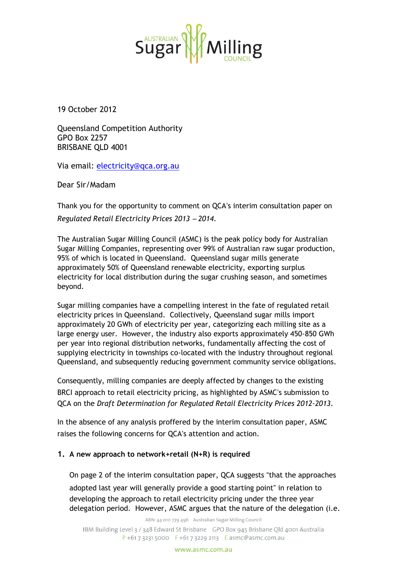

19 October 2012

Queensland Competition Authority GPO Box 2257 BRISBANE QLD 4001

Via email: [electricity@qca.org.au](mailto:electricity@qca.org.au)

Dear Sir/Madam

Thank you for the opportunity to comment on QCA's interim consultation paper on *Regulated Retail Electricity Prices 2013* – *2014*.

The Australian Sugar Milling Council (ASMC) is the peak policy body for Australian Sugar Milling Companies, representing over 99% of Australian raw sugar production, 95% of which is located in Queensland. Queensland sugar mills generate approximately 50% of Queensland renewable electricity, exporting surplus electricity for local distribution during the sugar crushing season, and sometimes beyond.

Sugar milling companies have a compelling interest in the fate of regulated retail electricity prices in Queensland. Collectively, Queensland sugar mills import approximately 20 GWh of electricity per year, categorizing each milling site as a large energy user. However, the industry also exports approximately 450-850 GWh per year into regional distribution networks, fundamentally affecting the cost of supplying electricity in townships co-located with the industry throughout regional Queensland, and subsequently reducing government community service obligations.

Consequently, milling companies are deeply affected by changes to the existing BRCI approach to retail electricity pricing, as highlighted by ASMC's submission to QCA on the *Draft Determination for Regulated Retail Electricity Prices 2012-2013*.

In the absence of any analysis proffered by the interim consultation paper, ASMC raises the following concerns for QCA's attention and action.

#### **1. A new approach to network+retail (N+R) is required**

On page 2 of the interim consultation paper, QCA suggests "that the approaches

adopted last year will generally provide a good starting point" in relation to developing the approach to retail electricity pricing under the three year delegation period. However, ASMC argues that the nature of the delegation (i.e.

ABN: 44 010 779 496 Australian Sugar Milling Council

IBM Building Level 3 / 348 Edward St Brisbane GPO Box 945 Brisbane Old 4001 Australia  $P + 61732315000$  F + 61 7 3229 2113 E asmc@asmc.com.au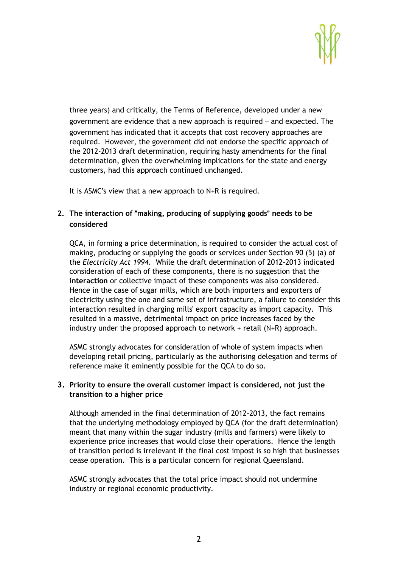

three years) and critically, the Terms of Reference, developed under a new government are evidence that a new approach is required – and expected. The government has indicated that it accepts that cost recovery approaches are required. However, the government did not endorse the specific approach of the 2012-2013 draft determination, requiring hasty amendments for the final determination, given the overwhelming implications for the state and energy customers, had this approach continued unchanged.

It is ASMC's view that a new approach to N+R is required.

## **2. The interaction of** "**making, producing of supplying goods**" **needs to be considered**

QCA, in forming a price determination, is required to consider the actual cost of making, producing or supplying the goods or services under Section 90 (5) (a) of the *Electricity Act 1994*. While the draft determination of 2012-2013 indicated consideration of each of these components, there is no suggestion that the **interaction** or collective impact of these components was also considered. Hence in the case of sugar mills, which are both importers and exporters of electricity using the one and same set of infrastructure, a failure to consider this interaction resulted in charging mills' export capacity as import capacity. This resulted in a massive, detrimental impact on price increases faced by the industry under the proposed approach to network + retail (N+R) approach.

ASMC strongly advocates for consideration of whole of system impacts when developing retail pricing, particularly as the authorising delegation and terms of reference make it eminently possible for the QCA to do so.

### **3. Priority to ensure the overall customer impact is considered, not just the transition to a higher price**

Although amended in the final determination of 2012-2013, the fact remains that the underlying methodology employed by QCA (for the draft determination) meant that many within the sugar industry (mills and farmers) were likely to experience price increases that would close their operations. Hence the length of transition period is irrelevant if the final cost impost is so high that businesses cease operation. This is a particular concern for regional Queensland.

ASMC strongly advocates that the total price impact should not undermine industry or regional economic productivity.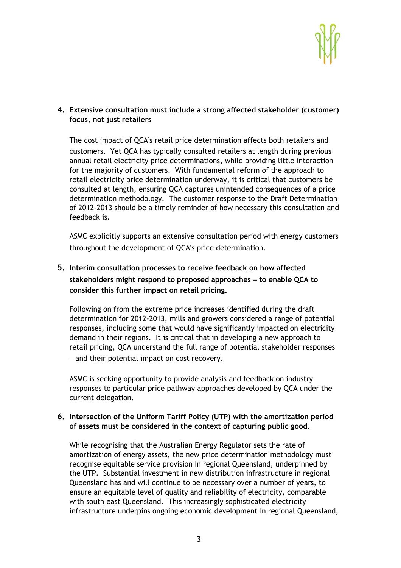

### **4. Extensive consultation must include a strong affected stakeholder (customer) focus, not just retailers**

The cost impact of QCA's retail price determination affects both retailers and customers. Yet QCA has typically consulted retailers at length during previous annual retail electricity price determinations, while providing little interaction for the majority of customers. With fundamental reform of the approach to retail electricity price determination underway, it is critical that customers be consulted at length, ensuring QCA captures unintended consequences of a price determination methodology. The customer response to the Draft Determination of 2012-2013 should be a timely reminder of how necessary this consultation and feedback is.

ASMC explicitly supports an extensive consultation period with energy customers throughout the development of QCA's price determination.

# **5. Interim consultation processes to receive feedback on how affected stakeholders might respond to proposed approaches** – **to enable QCA to consider this further impact on retail pricing.**

Following on from the extreme price increases identified during the draft determination for 2012-2013, mills and growers considered a range of potential responses, including some that would have significantly impacted on electricity demand in their regions. It is critical that in developing a new approach to retail pricing, QCA understand the full range of potential stakeholder responses – and their potential impact on cost recovery.

ASMC is seeking opportunity to provide analysis and feedback on industry responses to particular price pathway approaches developed by QCA under the current delegation.

### **6. Intersection of the Uniform Tariff Policy (UTP) with the amortization period of assets must be considered in the context of capturing public good.**

While recognising that the Australian Energy Regulator sets the rate of amortization of energy assets, the new price determination methodology must recognise equitable service provision in regional Queensland, underpinned by the UTP. Substantial investment in new distribution infrastructure in regional Queensland has and will continue to be necessary over a number of years, to ensure an equitable level of quality and reliability of electricity, comparable with south east Queensland. This increasingly sophisticated electricity infrastructure underpins ongoing economic development in regional Queensland,